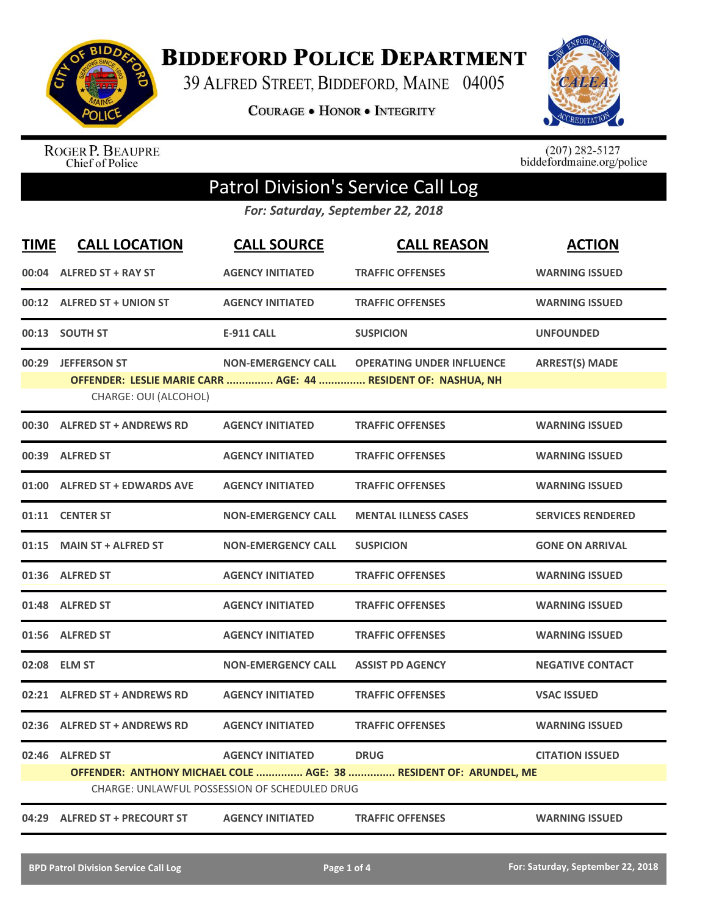

**BIDDEFORD POLICE DEPARTMENT** 

39 ALFRED STREET, BIDDEFORD, MAINE 04005

**COURAGE . HONOR . INTEGRITY** 



ROGER P. BEAUPRE<br>Chief of Police

 $(207)$  282-5127<br>biddefordmaine.org/police

## Patrol Division's Service Call Log

*For: Saturday, September 22, 2018*

| <b>TIME</b> | <b>CALL LOCATION</b>                        | <b>CALL SOURCE</b>                                                       | <b>CALL REASON</b>                                                                                | <b>ACTION</b>            |
|-------------|---------------------------------------------|--------------------------------------------------------------------------|---------------------------------------------------------------------------------------------------|--------------------------|
|             | 00:04 ALFRED ST + RAY ST                    | <b>AGENCY INITIATED</b>                                                  | <b>TRAFFIC OFFENSES</b>                                                                           | <b>WARNING ISSUED</b>    |
|             | 00:12 ALFRED ST + UNION ST                  | <b>AGENCY INITIATED</b>                                                  | <b>TRAFFIC OFFENSES</b>                                                                           | <b>WARNING ISSUED</b>    |
|             | 00:13 SOUTH ST                              | <b>E-911 CALL</b>                                                        | <b>SUSPICION</b>                                                                                  | <b>UNFOUNDED</b>         |
|             | 00:29 JEFFERSON ST<br>CHARGE: OUI (ALCOHOL) | <b>NON-EMERGENCY CALL</b>                                                | <b>OPERATING UNDER INFLUENCE</b><br>OFFENDER: LESLIE MARIE CARR  AGE: 44  RESIDENT OF: NASHUA, NH | <b>ARREST(S) MADE</b>    |
|             | 00:30 ALFRED ST + ANDREWS RD                | <b>AGENCY INITIATED</b>                                                  | <b>TRAFFIC OFFENSES</b>                                                                           | <b>WARNING ISSUED</b>    |
|             | 00:39 ALFRED ST                             | <b>AGENCY INITIATED</b>                                                  | <b>TRAFFIC OFFENSES</b>                                                                           | <b>WARNING ISSUED</b>    |
| 01:00       | <b>ALFRED ST + EDWARDS AVE</b>              | <b>AGENCY INITIATED</b>                                                  | <b>TRAFFIC OFFENSES</b>                                                                           | <b>WARNING ISSUED</b>    |
|             | 01:11 CENTER ST                             | <b>NON-EMERGENCY CALL</b>                                                | <b>MENTAL ILLNESS CASES</b>                                                                       | <b>SERVICES RENDERED</b> |
| 01:15       | <b>MAIN ST + ALFRED ST</b>                  | <b>NON-EMERGENCY CALL</b>                                                | <b>SUSPICION</b>                                                                                  | <b>GONE ON ARRIVAL</b>   |
|             | 01:36 ALFRED ST                             | <b>AGENCY INITIATED</b>                                                  | <b>TRAFFIC OFFENSES</b>                                                                           | <b>WARNING ISSUED</b>    |
|             | 01:48 ALFRED ST                             | <b>AGENCY INITIATED</b>                                                  | <b>TRAFFIC OFFENSES</b>                                                                           | <b>WARNING ISSUED</b>    |
|             | 01:56 ALFRED ST                             | <b>AGENCY INITIATED</b>                                                  | <b>TRAFFIC OFFENSES</b>                                                                           | <b>WARNING ISSUED</b>    |
|             | 02:08 ELM ST                                | <b>NON-EMERGENCY CALL</b>                                                | <b>ASSIST PD AGENCY</b>                                                                           | <b>NEGATIVE CONTACT</b>  |
|             | 02:21 ALFRED ST + ANDREWS RD                | <b>AGENCY INITIATED</b>                                                  | <b>TRAFFIC OFFENSES</b>                                                                           | <b>VSAC ISSUED</b>       |
|             | 02:36 ALFRED ST + ANDREWS RD                | <b>AGENCY INITIATED</b>                                                  | <b>TRAFFIC OFFENSES</b>                                                                           | <b>WARNING ISSUED</b>    |
| 02:46       | <b>ALFRED ST</b>                            | <b>AGENCY INITIATED</b><br>CHARGE: UNLAWFUL POSSESSION OF SCHEDULED DRUG | <b>DRUG</b><br>OFFENDER: ANTHONY MICHAEL COLE  AGE: 38  RESIDENT OF: ARUNDEL, ME                  | <b>CITATION ISSUED</b>   |
|             | 04:29 ALFRED ST + PRECOURT ST               | <b>AGENCY INITIATED</b>                                                  | <b>TRAFFIC OFFENSES</b>                                                                           | <b>WARNING ISSUED</b>    |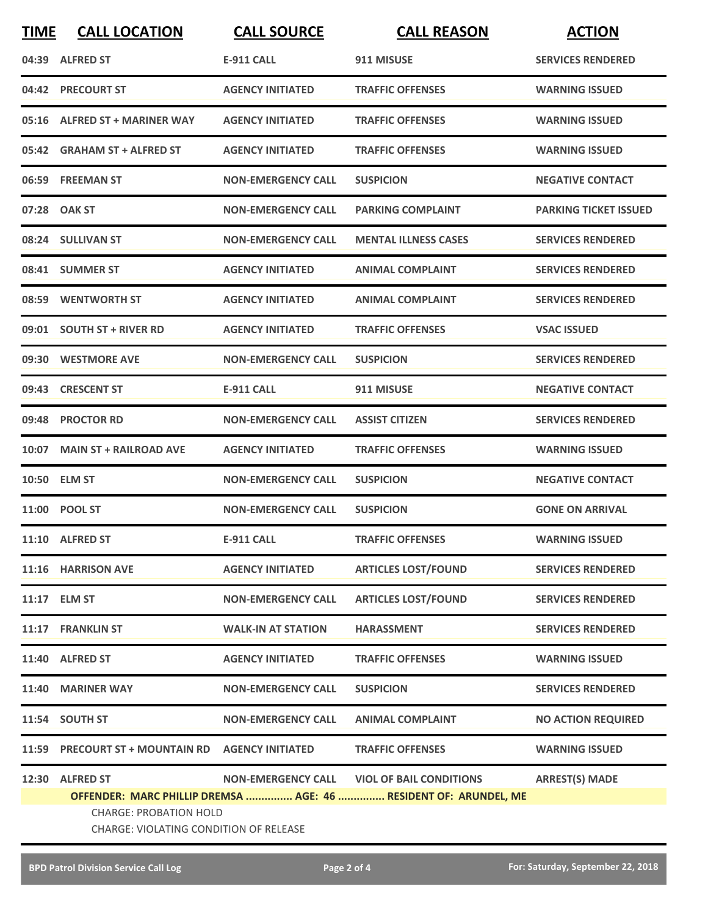| <b>TIME</b> | <b>CALL LOCATION</b>                                                    | <b>CALL SOURCE</b>        | <b>CALL REASON</b>                                               | <b>ACTION</b>                |  |
|-------------|-------------------------------------------------------------------------|---------------------------|------------------------------------------------------------------|------------------------------|--|
|             | 04:39 ALFRED ST                                                         | <b>E-911 CALL</b>         | 911 MISUSE                                                       | <b>SERVICES RENDERED</b>     |  |
|             | 04:42 PRECOURT ST                                                       | <b>AGENCY INITIATED</b>   | <b>TRAFFIC OFFENSES</b>                                          | <b>WARNING ISSUED</b>        |  |
|             | 05:16 ALFRED ST + MARINER WAY                                           | <b>AGENCY INITIATED</b>   | <b>TRAFFIC OFFENSES</b>                                          | <b>WARNING ISSUED</b>        |  |
|             | 05:42 GRAHAM ST + ALFRED ST                                             | <b>AGENCY INITIATED</b>   | <b>TRAFFIC OFFENSES</b>                                          | <b>WARNING ISSUED</b>        |  |
|             | 06:59 FREEMAN ST                                                        | <b>NON-EMERGENCY CALL</b> | <b>SUSPICION</b>                                                 | <b>NEGATIVE CONTACT</b>      |  |
|             | 07:28 OAK ST                                                            | <b>NON-EMERGENCY CALL</b> | <b>PARKING COMPLAINT</b>                                         | <b>PARKING TICKET ISSUED</b> |  |
|             | 08:24 SULLIVAN ST                                                       | <b>NON-EMERGENCY CALL</b> | <b>MENTAL ILLNESS CASES</b>                                      | <b>SERVICES RENDERED</b>     |  |
|             | 08:41 SUMMER ST                                                         | <b>AGENCY INITIATED</b>   | <b>ANIMAL COMPLAINT</b>                                          | <b>SERVICES RENDERED</b>     |  |
|             | 08:59 WENTWORTH ST                                                      | <b>AGENCY INITIATED</b>   | <b>ANIMAL COMPLAINT</b>                                          | <b>SERVICES RENDERED</b>     |  |
|             | 09:01 SOUTH ST + RIVER RD                                               | <b>AGENCY INITIATED</b>   | <b>TRAFFIC OFFENSES</b>                                          | <b>VSAC ISSUED</b>           |  |
|             | 09:30 WESTMORE AVE                                                      | <b>NON-EMERGENCY CALL</b> | <b>SUSPICION</b>                                                 | <b>SERVICES RENDERED</b>     |  |
| 09:43       | <b>CRESCENT ST</b>                                                      | <b>E-911 CALL</b>         | 911 MISUSE                                                       | <b>NEGATIVE CONTACT</b>      |  |
| 09:48       | <b>PROCTOR RD</b>                                                       | <b>NON-EMERGENCY CALL</b> | <b>ASSIST CITIZEN</b>                                            | <b>SERVICES RENDERED</b>     |  |
|             | 10:07 MAIN ST + RAILROAD AVE                                            | <b>AGENCY INITIATED</b>   | <b>TRAFFIC OFFENSES</b>                                          | <b>WARNING ISSUED</b>        |  |
|             | 10:50 ELM ST                                                            | <b>NON-EMERGENCY CALL</b> | <b>SUSPICION</b>                                                 | <b>NEGATIVE CONTACT</b>      |  |
|             | 11:00 POOL ST                                                           | <b>NON-EMERGENCY CALL</b> | <b>SUSPICION</b>                                                 | <b>GONE ON ARRIVAL</b>       |  |
|             | 11:10 ALFRED ST                                                         | <b>E-911 CALL</b>         | <b>TRAFFIC OFFENSES</b>                                          | <b>WARNING ISSUED</b>        |  |
|             | 11:16 HARRISON AVE                                                      | <b>AGENCY INITIATED</b>   | <b>ARTICLES LOST/FOUND</b>                                       | <b>SERVICES RENDERED</b>     |  |
|             | 11:17 ELM ST                                                            | <b>NON-EMERGENCY CALL</b> | <b>ARTICLES LOST/FOUND</b>                                       | <b>SERVICES RENDERED</b>     |  |
|             | 11:17 FRANKLIN ST                                                       | <b>WALK-IN AT STATION</b> | <b>HARASSMENT</b>                                                | <b>SERVICES RENDERED</b>     |  |
|             | 11:40 ALFRED ST                                                         | <b>AGENCY INITIATED</b>   | <b>TRAFFIC OFFENSES</b>                                          | <b>WARNING ISSUED</b>        |  |
|             | 11:40 MARINER WAY                                                       | <b>NON-EMERGENCY CALL</b> | <b>SUSPICION</b>                                                 | <b>SERVICES RENDERED</b>     |  |
|             | 11:54 SOUTH ST                                                          | <b>NON-EMERGENCY CALL</b> | <b>ANIMAL COMPLAINT</b>                                          | <b>NO ACTION REQUIRED</b>    |  |
|             | 11:59 PRECOURT ST + MOUNTAIN RD AGENCY INITIATED                        |                           | <b>TRAFFIC OFFENSES</b>                                          | <b>WARNING ISSUED</b>        |  |
|             | 12:30 ALFRED ST                                                         |                           | NON-EMERGENCY CALL VIOL OF BAIL CONDITIONS                       | <b>ARREST(S) MADE</b>        |  |
|             |                                                                         |                           | OFFENDER: MARC PHILLIP DREMSA  AGE: 46  RESIDENT OF: ARUNDEL, ME |                              |  |
|             | <b>CHARGE: PROBATION HOLD</b><br>CHARGE: VIOLATING CONDITION OF RELEASE |                           |                                                                  |                              |  |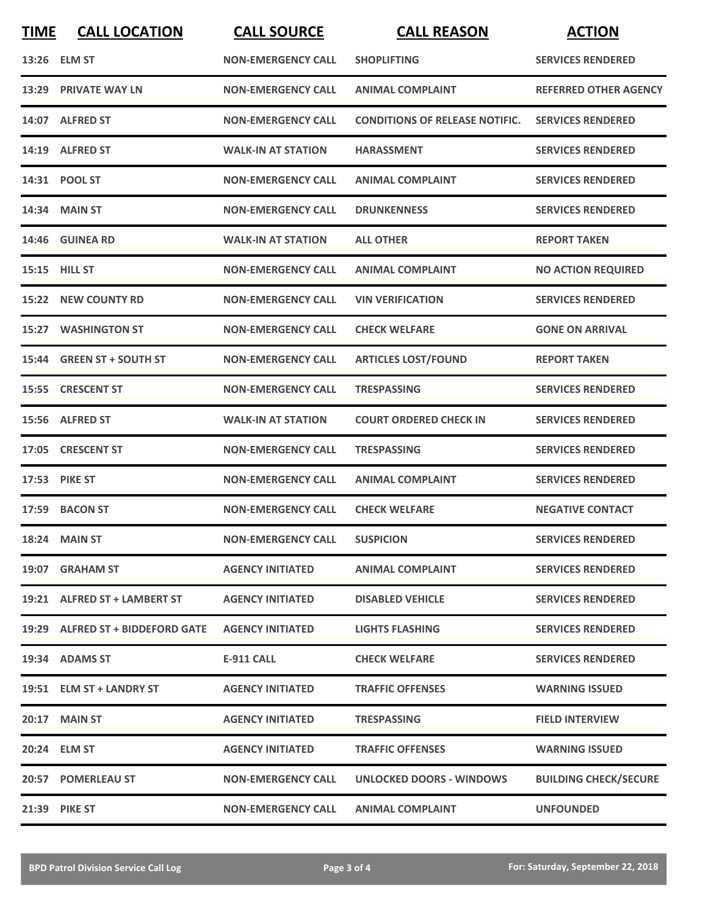| <b>TIME</b> | <b>CALL LOCATION</b>             | <b>CALL SOURCE</b>        | <b>CALL REASON</b>                    | <b>ACTION</b>                |
|-------------|----------------------------------|---------------------------|---------------------------------------|------------------------------|
|             | 13:26 ELM ST                     | <b>NON-EMERGENCY CALL</b> | <b>SHOPLIFTING</b>                    | <b>SERVICES RENDERED</b>     |
|             | 13:29 PRIVATE WAY LN             | <b>NON-EMERGENCY CALL</b> | <b>ANIMAL COMPLAINT</b>               | <b>REFERRED OTHER AGENCY</b> |
|             | 14:07 ALFRED ST                  | <b>NON-EMERGENCY CALL</b> | <b>CONDITIONS OF RELEASE NOTIFIC.</b> | <b>SERVICES RENDERED</b>     |
|             | 14:19 ALFRED ST                  | <b>WALK-IN AT STATION</b> | <b>HARASSMENT</b>                     | <b>SERVICES RENDERED</b>     |
|             | 14:31 POOL ST                    | <b>NON-EMERGENCY CALL</b> | <b>ANIMAL COMPLAINT</b>               | <b>SERVICES RENDERED</b>     |
|             | 14:34 MAIN ST                    | <b>NON-EMERGENCY CALL</b> | <b>DRUNKENNESS</b>                    | <b>SERVICES RENDERED</b>     |
| 14:46       | <b>GUINEA RD</b>                 | <b>WALK-IN AT STATION</b> | <b>ALL OTHER</b>                      | <b>REPORT TAKEN</b>          |
|             | 15:15 HILL ST                    | <b>NON-EMERGENCY CALL</b> | <b>ANIMAL COMPLAINT</b>               | <b>NO ACTION REQUIRED</b>    |
|             | 15:22 NEW COUNTY RD              | <b>NON-EMERGENCY CALL</b> | <b>VIN VERIFICATION</b>               | <b>SERVICES RENDERED</b>     |
| 15:27       | <b>WASHINGTON ST</b>             | <b>NON-EMERGENCY CALL</b> | <b>CHECK WELFARE</b>                  | <b>GONE ON ARRIVAL</b>       |
|             | 15:44 GREEN ST + SOUTH ST        | <b>NON-EMERGENCY CALL</b> | <b>ARTICLES LOST/FOUND</b>            | <b>REPORT TAKEN</b>          |
| 15:55       | <b>CRESCENT ST</b>               | <b>NON-EMERGENCY CALL</b> | <b>TRESPASSING</b>                    | <b>SERVICES RENDERED</b>     |
|             | 15:56 ALFRED ST                  | <b>WALK-IN AT STATION</b> | <b>COURT ORDERED CHECK IN</b>         | <b>SERVICES RENDERED</b>     |
| 17:05       | <b>CRESCENT ST</b>               | <b>NON-EMERGENCY CALL</b> | <b>TRESPASSING</b>                    | <b>SERVICES RENDERED</b>     |
|             | 17:53 PIKE ST                    | <b>NON-EMERGENCY CALL</b> | <b>ANIMAL COMPLAINT</b>               | <b>SERVICES RENDERED</b>     |
|             | 17:59 BACON ST                   | <b>NON-EMERGENCY CALL</b> | <b>CHECK WELFARE</b>                  | <b>NEGATIVE CONTACT</b>      |
|             | 18:24 MAIN ST                    | <b>NON-EMERGENCY CALL</b> | <b>SUSPICION</b>                      | <b>SERVICES RENDERED</b>     |
|             | 19:07 GRAHAM ST                  | <b>AGENCY INITIATED</b>   | <b>ANIMAL COMPLAINT</b>               | <b>SERVICES RENDERED</b>     |
|             | 19:21 ALFRED ST + LAMBERT ST     | <b>AGENCY INITIATED</b>   | <b>DISABLED VEHICLE</b>               | <b>SERVICES RENDERED</b>     |
|             | 19:29 ALFRED ST + BIDDEFORD GATE | <b>AGENCY INITIATED</b>   | <b>LIGHTS FLASHING</b>                | <b>SERVICES RENDERED</b>     |
|             | 19:34 ADAMS ST                   | <b>E-911 CALL</b>         | <b>CHECK WELFARE</b>                  | <b>SERVICES RENDERED</b>     |
|             | 19:51 ELM ST + LANDRY ST         | <b>AGENCY INITIATED</b>   | <b>TRAFFIC OFFENSES</b>               | <b>WARNING ISSUED</b>        |
|             | <b>20:17 MAIN ST</b>             | <b>AGENCY INITIATED</b>   | <b>TRESPASSING</b>                    | <b>FIELD INTERVIEW</b>       |
|             | 20:24 ELM ST                     | <b>AGENCY INITIATED</b>   | <b>TRAFFIC OFFENSES</b>               | <b>WARNING ISSUED</b>        |
|             | 20:57 POMERLEAU ST               | <b>NON-EMERGENCY CALL</b> | UNLOCKED DOORS - WINDOWS              | <b>BUILDING CHECK/SECURE</b> |
|             | 21:39 PIKE ST                    | <b>NON-EMERGENCY CALL</b> | <b>ANIMAL COMPLAINT</b>               | <b>UNFOUNDED</b>             |